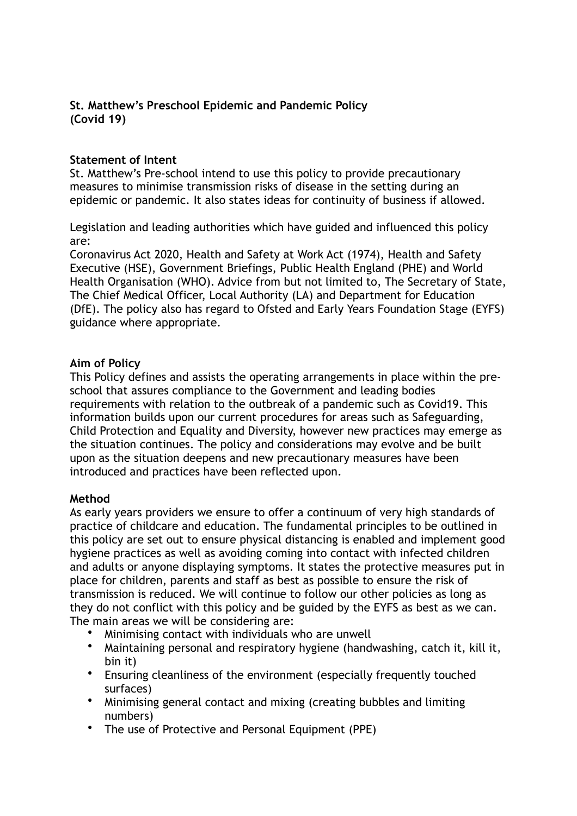#### **St. Matthew's Preschool Epidemic and Pandemic Policy (Covid 19)**

#### **Statement of Intent**

St. Matthew's Pre-school intend to use this policy to provide precautionary measures to minimise transmission risks of disease in the setting during an epidemic or pandemic. It also states ideas for continuity of business if allowed.

Legislation and leading authorities which have guided and influenced this policy are:

Coronavirus Act 2020, Health and Safety at Work Act (1974), Health and Safety Executive (HSE), Government Briefings, Public Health England (PHE) and World Health Organisation (WHO). Advice from but not limited to, The Secretary of State, The Chief Medical Officer, Local Authority (LA) and Department for Education (DfE). The policy also has regard to Ofsted and Early Years Foundation Stage (EYFS) guidance where appropriate.

#### **Aim of Policy**

This Policy defines and assists the operating arrangements in place within the preschool that assures compliance to the Government and leading bodies requirements with relation to the outbreak of a pandemic such as Covid19. This information builds upon our current procedures for areas such as Safeguarding, Child Protection and Equality and Diversity, however new practices may emerge as the situation continues. The policy and considerations may evolve and be built upon as the situation deepens and new precautionary measures have been introduced and practices have been reflected upon.

#### **Method**

As early years providers we ensure to offer a continuum of very high standards of practice of childcare and education. The fundamental principles to be outlined in this policy are set out to ensure physical distancing is enabled and implement good hygiene practices as well as avoiding coming into contact with infected children and adults or anyone displaying symptoms. It states the protective measures put in place for children, parents and staff as best as possible to ensure the risk of transmission is reduced. We will continue to follow our other policies as long as they do not conflict with this policy and be guided by the EYFS as best as we can. The main areas we will be considering are:

- Minimising contact with individuals who are unwell
- Maintaining personal and respiratory hygiene (handwashing, catch it, kill it, bin it)
- Ensuring cleanliness of the environment (especially frequently touched surfaces)
- Minimising general contact and mixing (creating bubbles and limiting numbers)
- The use of Protective and Personal Equipment (PPE)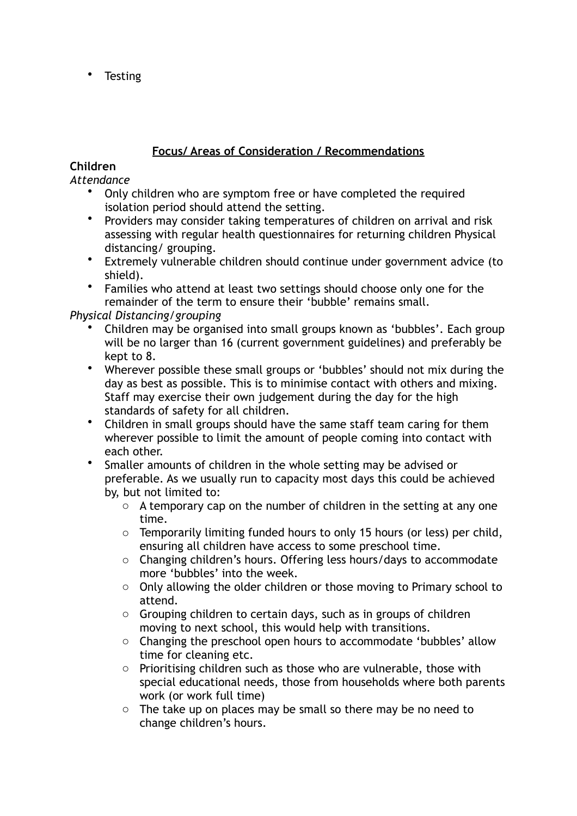• Testing

# **Focus/ Areas of Consideration / Recommendations**

## **Children**

### *Attendance*

- Only children who are symptom free or have completed the required isolation period should attend the setting.
- Providers may consider taking temperatures of children on arrival and risk assessing with regular health questionnaires for returning children Physical distancing/ grouping.
- Extremely vulnerable children should continue under government advice (to shield).
- Families who attend at least two settings should choose only one for the remainder of the term to ensure their 'bubble' remains small.

## *Physical Distancing/grouping*

- Children may be organised into small groups known as 'bubbles'. Each group will be no larger than 16 (current government guidelines) and preferably be kept to 8.
- Wherever possible these small groups or 'bubbles' should not mix during the day as best as possible. This is to minimise contact with others and mixing. Staff may exercise their own judgement during the day for the high standards of safety for all children.
- Children in small groups should have the same staff team caring for them wherever possible to limit the amount of people coming into contact with each other.
- Smaller amounts of children in the whole setting may be advised or preferable. As we usually run to capacity most days this could be achieved by, but not limited to:
	- $\circ$  A temporary cap on the number of children in the setting at any one time.
	- o Temporarily limiting funded hours to only 15 hours (or less) per child, ensuring all children have access to some preschool time.
	- o Changing children's hours. Offering less hours/days to accommodate more 'bubbles' into the week.
	- o Only allowing the older children or those moving to Primary school to attend.
	- o Grouping children to certain days, such as in groups of children moving to next school, this would help with transitions.
	- o Changing the preschool open hours to accommodate 'bubbles' allow time for cleaning etc.
	- o Prioritising children such as those who are vulnerable, those with special educational needs, those from households where both parents work (or work full time)
	- o The take up on places may be small so there may be no need to change children's hours.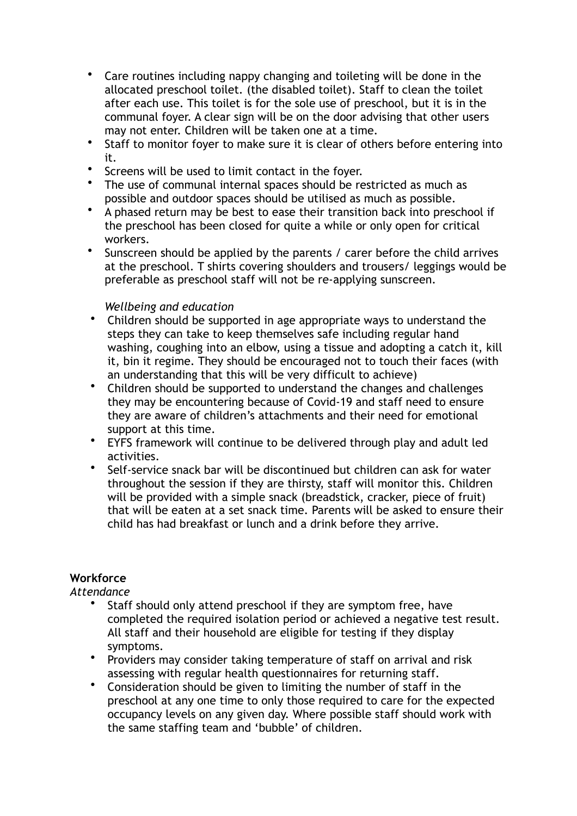- Care routines including nappy changing and toileting will be done in the allocated preschool toilet. (the disabled toilet). Staff to clean the toilet after each use. This toilet is for the sole use of preschool, but it is in the communal foyer. A clear sign will be on the door advising that other users may not enter. Children will be taken one at a time.
- Staff to monitor foyer to make sure it is clear of others before entering into it.
- Screens will be used to limit contact in the foyer.
- The use of communal internal spaces should be restricted as much as possible and outdoor spaces should be utilised as much as possible.
- A phased return may be best to ease their transition back into preschool if the preschool has been closed for quite a while or only open for critical workers.
- Sunscreen should be applied by the parents / carer before the child arrives at the preschool. T shirts covering shoulders and trousers/ leggings would be preferable as preschool staff will not be re-applying sunscreen.

### *Wellbeing and education*

- Children should be supported in age appropriate ways to understand the steps they can take to keep themselves safe including regular hand washing, coughing into an elbow, using a tissue and adopting a catch it, kill it, bin it regime. They should be encouraged not to touch their faces (with an understanding that this will be very difficult to achieve)
- Children should be supported to understand the changes and challenges they may be encountering because of Covid-19 and staff need to ensure they are aware of children's attachments and their need for emotional support at this time.
- EYFS framework will continue to be delivered through play and adult led activities.
- Self-service snack bar will be discontinued but children can ask for water throughout the session if they are thirsty, staff will monitor this. Children will be provided with a simple snack (breadstick, cracker, piece of fruit) that will be eaten at a set snack time. Parents will be asked to ensure their child has had breakfast or lunch and a drink before they arrive.

### **Workforce**

### *Attendance*

- Staff should only attend preschool if they are symptom free, have completed the required isolation period or achieved a negative test result. All staff and their household are eligible for testing if they display symptoms.
- Providers may consider taking temperature of staff on arrival and risk assessing with regular health questionnaires for returning staff.
- Consideration should be given to limiting the number of staff in the preschool at any one time to only those required to care for the expected occupancy levels on any given day. Where possible staff should work with the same staffing team and 'bubble' of children.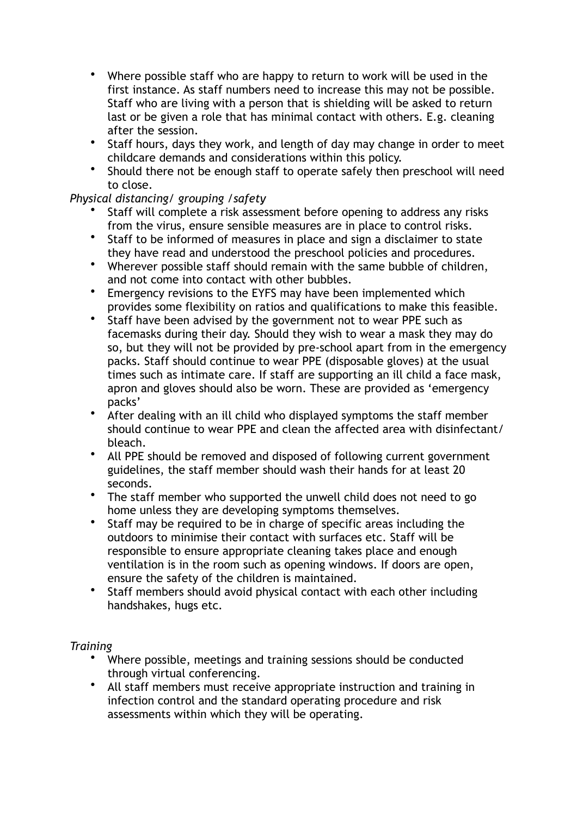- Where possible staff who are happy to return to work will be used in the first instance. As staff numbers need to increase this may not be possible. Staff who are living with a person that is shielding will be asked to return last or be given a role that has minimal contact with others. E.g. cleaning after the session.
- Staff hours, days they work, and length of day may change in order to meet childcare demands and considerations within this policy.
- Should there not be enough staff to operate safely then preschool will need to close.

### *Physical distancing/ grouping /safety*

- Staff will complete a risk assessment before opening to address any risks from the virus, ensure sensible measures are in place to control risks.
- Staff to be informed of measures in place and sign a disclaimer to state they have read and understood the preschool policies and procedures.
- Wherever possible staff should remain with the same bubble of children, and not come into contact with other bubbles.
- Emergency revisions to the EYFS may have been implemented which provides some flexibility on ratios and qualifications to make this feasible.
- Staff have been advised by the government not to wear PPE such as facemasks during their day. Should they wish to wear a mask they may do so, but they will not be provided by pre-school apart from in the emergency packs. Staff should continue to wear PPE (disposable gloves) at the usual times such as intimate care. If staff are supporting an ill child a face mask, apron and gloves should also be worn. These are provided as 'emergency packs'
- After dealing with an ill child who displayed symptoms the staff member should continue to wear PPE and clean the affected area with disinfectant/ bleach.
- All PPE should be removed and disposed of following current government guidelines, the staff member should wash their hands for at least 20 seconds.
- The staff member who supported the unwell child does not need to go home unless they are developing symptoms themselves.
- Staff mav be required to be in charge of specific areas including the outdoors to minimise their contact with surfaces etc. Staff will be responsible to ensure appropriate cleaning takes place and enough ventilation is in the room such as opening windows. If doors are open, ensure the safety of the children is maintained.
- Staff members should avoid physical contact with each other including handshakes, hugs etc.

### *Training*

- Where possible, meetings and training sessions should be conducted through virtual conferencing.
- All staff members must receive appropriate instruction and training in infection control and the standard operating procedure and risk assessments within which they will be operating.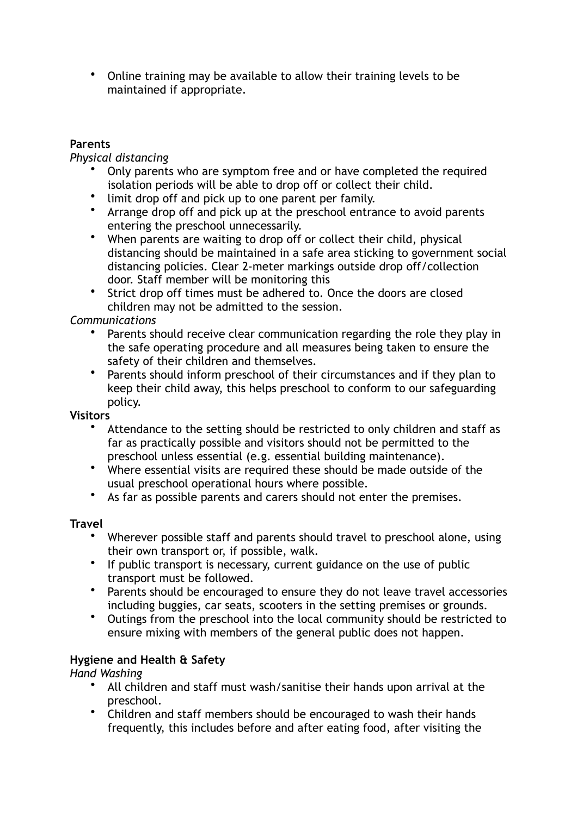• Online training may be available to allow their training levels to be maintained if appropriate.

### **Parents**

#### *Physical distancing*

- Only parents who are symptom free and or have completed the required isolation periods will be able to drop off or collect their child.
- limit drop off and pick up to one parent per family.
- Arrange drop off and pick up at the preschool entrance to avoid parents entering the preschool unnecessarily.
- When parents are waiting to drop off or collect their child, physical distancing should be maintained in a safe area sticking to government social distancing policies. Clear 2-meter markings outside drop off/collection door. Staff member will be monitoring this
- Strict drop off times must be adhered to. Once the doors are closed children may not be admitted to the session.

### *Communications*

- Parents should receive clear communication regarding the role they play in the safe operating procedure and all measures being taken to ensure the safety of their children and themselves.
- Parents should inform preschool of their circumstances and if they plan to keep their child away, this helps preschool to conform to our safeguarding policy.

### **Visitors**

- Attendance to the setting should be restricted to only children and staff as far as practically possible and visitors should not be permitted to the preschool unless essential (e.g. essential building maintenance).
- Where essential visits are required these should be made outside of the usual preschool operational hours where possible.
- As far as possible parents and carers should not enter the premises.

### **Travel**

- Wherever possible staff and parents should travel to preschool alone, using their own transport or, if possible, walk.
- If public transport is necessary, current guidance on the use of public transport must be followed.
- Parents should be encouraged to ensure they do not leave travel accessories including buggies, car seats, scooters in the setting premises or grounds.
- Outings from the preschool into the local community should be restricted to ensure mixing with members of the general public does not happen.

# **Hygiene and Health & Safety**

*Hand Washing* 

- All children and staff must wash/sanitise their hands upon arrival at the preschool.
- Children and staff members should be encouraged to wash their hands frequently, this includes before and after eating food, after visiting the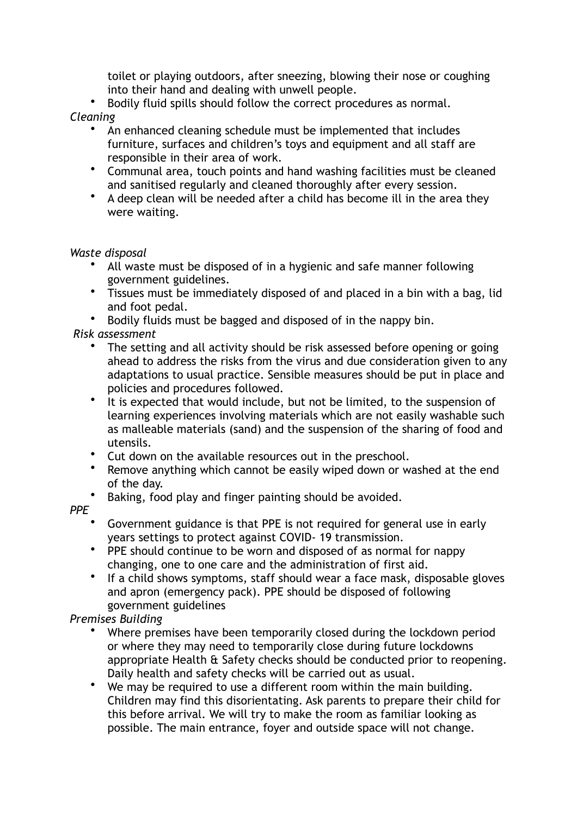toilet or playing outdoors, after sneezing, blowing their nose or coughing into their hand and dealing with unwell people.

Bodily fluid spills should follow the correct procedures as normal. *Cleaning* 

- An enhanced cleaning schedule must be implemented that includes furniture, surfaces and children's toys and equipment and all staff are responsible in their area of work.
- Communal area, touch points and hand washing facilities must be cleaned and sanitised regularly and cleaned thoroughly after every session.
- A deep clean will be needed after a child has become ill in the area they were waiting.

*Waste disposal* 

- All waste must be disposed of in a hygienic and safe manner following government guidelines.
- Tissues must be immediately disposed of and placed in a bin with a bag, lid and foot pedal.
- Bodily fluids must be bagged and disposed of in the nappy bin.

## *Risk assessment*

- The setting and all activity should be risk assessed before opening or going ahead to address the risks from the virus and due consideration given to any adaptations to usual practice. Sensible measures should be put in place and policies and procedures followed.
- It is expected that would include, but not be limited, to the suspension of learning experiences involving materials which are not easily washable such as malleable materials (sand) and the suspension of the sharing of food and utensils.
- Cut down on the available resources out in the preschool.
- Remove anything which cannot be easily wiped down or washed at the end of the day.
- Baking, food play and finger painting should be avoided.

### *PPE*

- Government guidance is that PPE is not required for general use in early years settings to protect against COVID- 19 transmission.
- PPE should continue to be worn and disposed of as normal for nappy changing, one to one care and the administration of first aid.
- If a child shows symptoms, staff should wear a face mask, disposable gloves and apron (emergency pack). PPE should be disposed of following government guidelines

# *Premises Building*

- Where premises have been temporarily closed during the lockdown period or where they may need to temporarily close during future lockdowns appropriate Health & Safety checks should be conducted prior to reopening. Daily health and safety checks will be carried out as usual.
- We may be required to use a different room within the main building. Children may find this disorientating. Ask parents to prepare their child for this before arrival. We will try to make the room as familiar looking as possible. The main entrance, foyer and outside space will not change.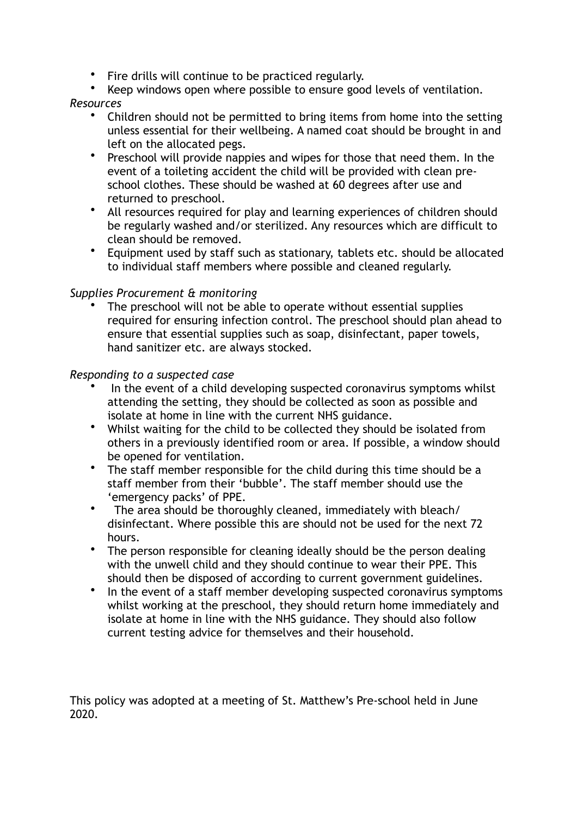• Fire drills will continue to be practiced regularly.

• Keep windows open where possible to ensure good levels of ventilation. *Resources* 

- Children should not be permitted to bring items from home into the setting unless essential for their wellbeing. A named coat should be brought in and left on the allocated pegs.
- Preschool will provide nappies and wipes for those that need them. In the event of a toileting accident the child will be provided with clean preschool clothes. These should be washed at 60 degrees after use and returned to preschool.
- All resources required for play and learning experiences of children should be regularly washed and/or sterilized. Any resources which are difficult to clean should be removed.
- Equipment used by staff such as stationary, tablets etc. should be allocated to individual staff members where possible and cleaned regularly.

#### *Supplies Procurement & monitoring*

The preschool will not be able to operate without essential supplies required for ensuring infection control. The preschool should plan ahead to ensure that essential supplies such as soap, disinfectant, paper towels, hand sanitizer etc. are always stocked.

#### *Responding to a suspected case*

- In the event of a child developing suspected coronavirus symptoms whilst attending the setting, they should be collected as soon as possible and isolate at home in line with the current NHS guidance.
- Whilst waiting for the child to be collected they should be isolated from others in a previously identified room or area. If possible, a window should be opened for ventilation.
- The staff member responsible for the child during this time should be a staff member from their 'bubble'. The staff member should use the 'emergency packs' of PPE.
- The area should be thoroughly cleaned, immediately with bleach/ disinfectant. Where possible this are should not be used for the next 72 hours.
- The person responsible for cleaning ideally should be the person dealing with the unwell child and they should continue to wear their PPE. This should then be disposed of according to current government guidelines.
- In the event of a staff member developing suspected coronavirus symptoms whilst working at the preschool, they should return home immediately and isolate at home in line with the NHS guidance. They should also follow current testing advice for themselves and their household.

This policy was adopted at a meeting of St. Matthew's Pre-school held in June 2020.